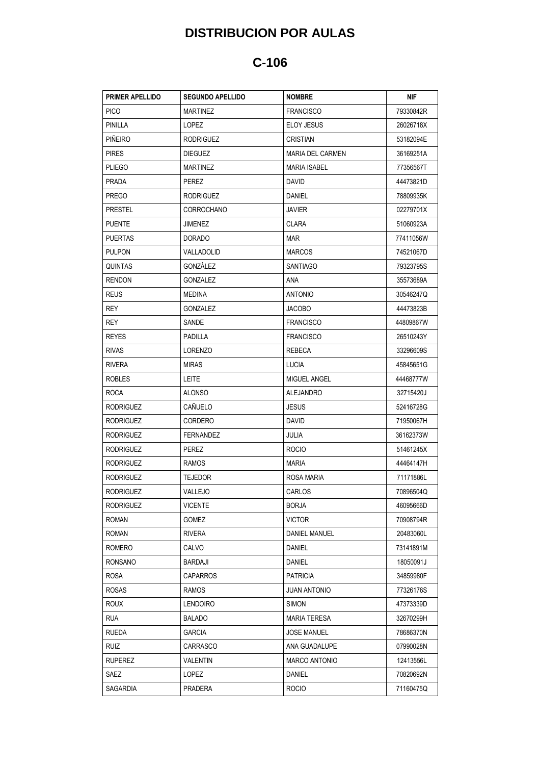## **DISTRIBUCION POR AULAS**

## **C-106**

| <b>PRIMER APELLIDO</b> | <b>SEGUNDO APELLIDO</b> | <b>NOMBRE</b>           | NIF       |
|------------------------|-------------------------|-------------------------|-----------|
| <b>PICO</b>            | <b>MARTINEZ</b>         | <b>FRANCISCO</b>        | 79330842R |
| PINILLA                | LOPEZ                   | <b>ELOY JESUS</b>       | 26026718X |
| <b>PIÑEIRO</b>         | <b>RODRIGUEZ</b>        | CRISTIAN                | 53182094E |
| <b>PIRES</b>           | <b>DIEGUEZ</b>          | <b>MARIA DEL CARMEN</b> | 36169251A |
| <b>PLIEGO</b>          | <b>MARTINEZ</b>         | <b>MARIA ISABEL</b>     | 77356567T |
| <b>PRADA</b>           | PEREZ                   | <b>DAVID</b>            | 44473821D |
| <b>PREGO</b>           | <b>RODRIGUEZ</b>        | DANIEL                  | 78809935K |
| <b>PRESTEL</b>         | CORROCHANO              | <b>JAVIER</b>           | 02279701X |
| <b>PUENTE</b>          | JIMENEZ                 | <b>CLARA</b>            | 51060923A |
| <b>PUERTAS</b>         | <b>DORADO</b>           | <b>MAR</b>              | 77411056W |
| <b>PULPON</b>          | VALLADOLID              | <b>MARCOS</b>           | 74521067D |
| QUINTAS                | GONZALEZ                | SANTIAGO                | 79323795S |
| <b>RENDON</b>          | GONZALEZ                | <b>ANA</b>              | 35573689A |
| <b>REUS</b>            | MEDINA                  | <b>ANTONIO</b>          | 30546247Q |
| REY                    | <b>GONZALEZ</b>         | <b>JACOBO</b>           | 44473823B |
| REY                    | SANDE                   | <b>FRANCISCO</b>        | 44809867W |
| <b>REYES</b>           | PADILLA                 | <b>FRANCISCO</b>        | 26510243Y |
| <b>RIVAS</b>           | LORENZO                 | REBECA                  | 33296609S |
| <b>RIVERA</b>          | <b>MIRAS</b>            | LUCIA                   | 45845651G |
| <b>ROBLES</b>          | LEITE                   | MIGUEL ANGEL            | 44468777W |
| <b>ROCA</b>            | ALONSO                  | <b>ALEJANDRO</b>        | 32715420J |
| <b>RODRIGUEZ</b>       | CAÑUELO                 | JESUS                   | 52416728G |
| <b>RODRIGUEZ</b>       | CORDERO                 | DAVID                   | 71950067H |
| <b>RODRIGUEZ</b>       | <b>FERNANDEZ</b>        | JULIA                   | 36162373W |
| <b>RODRIGUEZ</b>       | PEREZ                   | <b>ROCIO</b>            | 51461245X |
| <b>RODRIGUEZ</b>       | <b>RAMOS</b>            | MARIA                   | 44464147H |
| <b>RODRIGUEZ</b>       | <b>TEJEDOR</b>          | ROSA MARIA              | 71171886L |
| <b>RODRIGUEZ</b>       | VALLEJO                 | CARLOS                  | 70896504Q |
| <b>RODRIGUEZ</b>       | <b>VICENTE</b>          | <b>BORJA</b>            | 46095666D |
| <b>ROMAN</b>           | <b>GOMEZ</b>            | <b>VICTOR</b>           | 70908794R |
| <b>ROMAN</b>           | <b>RIVERA</b>           | <b>DANIEL MANUEL</b>    | 20483060L |
| ROMERO                 | CALVO                   | DANIEL                  | 73141891M |
| <b>RONSANO</b>         | BARDAJI                 | <b>DANIEL</b>           | 18050091J |
| <b>ROSA</b>            | <b>CAPARROS</b>         | <b>PATRICIA</b>         | 34859980F |
| <b>ROSAS</b>           | RAMOS                   | <b>JUAN ANTONIO</b>     | 77326176S |
| <b>ROUX</b>            | <b>LENDOIRO</b>         | SIMON                   | 47373339D |
| <b>RUA</b>             | <b>BALADO</b>           | <b>MARIA TERESA</b>     | 32670299H |
| <b>RUEDA</b>           | GARCIA                  | <b>JOSE MANUEL</b>      | 78686370N |
| <b>RUIZ</b>            | CARRASCO                | ANA GUADALUPE           | 07990028N |
| <b>RUPEREZ</b>         | VALENTIN                | <b>MARCO ANTONIO</b>    | 12413556L |
| SAEZ                   | LOPEZ                   | DANIEL                  | 70820692N |
| SAGARDIA               | PRADERA                 | <b>ROCIO</b>            | 71160475Q |